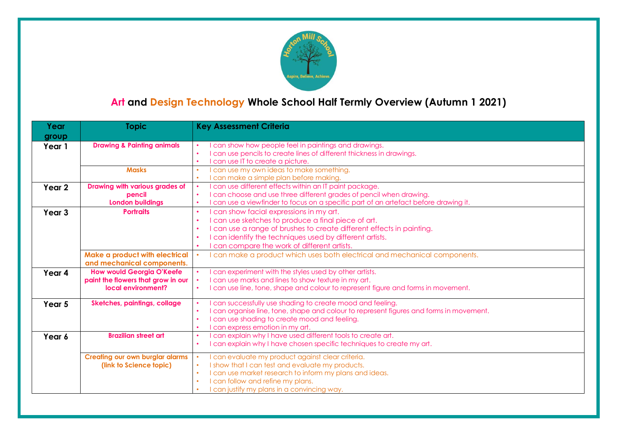

# **Art and Design Technology Whole School Half Termly Overview (Autumn 1 2021)**

| Year<br>group     | <b>Topic</b>                                                 | <b>Key Assessment Criteria</b>                                                                                                       |
|-------------------|--------------------------------------------------------------|--------------------------------------------------------------------------------------------------------------------------------------|
| Year 1            | <b>Drawing &amp; Painting animals</b>                        | can show how people feel in paintings and drawings.                                                                                  |
|                   |                                                              | I can use pencils to create lines of different thickness in drawings.<br>$\bullet$<br>I can use IT to create a picture.<br>$\bullet$ |
|                   | <b>Masks</b>                                                 | can use my own ideas to make something.<br>$\bullet$                                                                                 |
|                   |                                                              | I can make a simple plan before making.<br>$\bullet$                                                                                 |
| Year 2            | Drawing with various grades of                               | can use different effects within an IT paint package.                                                                                |
|                   | pencil                                                       | I can choose and use three different grades of pencil when drawing.<br>$\bullet$                                                     |
|                   | <b>London buildings</b>                                      | can use a viewfinder to focus on a specific part of an artefact before drawing it.<br>٠                                              |
| Year <sub>3</sub> | <b>Portraits</b>                                             | can show facial expressions in my art.<br>$\bullet$                                                                                  |
|                   |                                                              | I can use sketches to produce a final piece of art.<br>$\bullet$                                                                     |
|                   |                                                              | I can use a range of brushes to create different effects in painting.<br>$\bullet$                                                   |
|                   |                                                              | I can identify the techniques used by different artists.<br>$\bullet$                                                                |
|                   |                                                              | can compare the work of different artists.<br>$\bullet$                                                                              |
|                   | Make a product with electrical<br>and mechanical components. | can make a product which uses both electrical and mechanical components.                                                             |
| Year 4            | <b>How would Georgia O'Keefe</b>                             | can experiment with the styles used by other artists.                                                                                |
|                   | paint the flowers that grow in our                           | I can use marks and lines to show texture in my art.                                                                                 |
|                   | local environment?                                           | can use line, tone, shape and colour to represent figure and forms in movement.                                                      |
| Year 5            | <b>Sketches, paintings, collage</b>                          | can successfully use shading to create mood and feeling.                                                                             |
|                   |                                                              | I can organise line, tone, shape and colour to represent figures and forms in movement.<br>$\bullet$                                 |
|                   |                                                              | I can use shading to create mood and feeling.<br>$\bullet$                                                                           |
|                   |                                                              | can express emotion in my art.<br>$\bullet$                                                                                          |
| Year 6            | <b>Brazilian street art</b>                                  | I can explain why I have used different tools to create art.<br>$\bullet$                                                            |
|                   |                                                              | I can explain why I have chosen specific techniques to create my art.<br>$\bullet$                                                   |
|                   | <b>Creating our own burglar alarms</b>                       | can evaluate my product against clear criteria.                                                                                      |
|                   | (link to Science topic)                                      | I show that I can test and evaluate my products.<br>$\bullet$                                                                        |
|                   |                                                              | I can use market research to inform my plans and ideas.<br>$\bullet$                                                                 |
|                   |                                                              | I can follow and refine my plans.<br>$\bullet$                                                                                       |
|                   |                                                              | I can justify my plans in a convincing way.                                                                                          |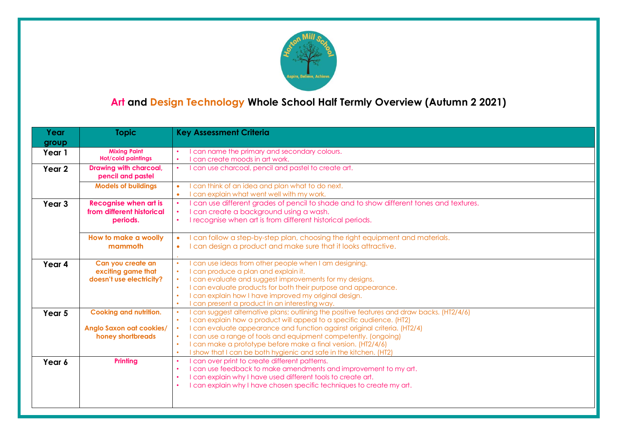

# **Art and Design Technology Whole School Half Termly Overview (Autumn 2 2021)**

| Year   | <b>Topic</b>                                                                   | <b>Key Assessment Criteria</b>                                                                                                                                                                                                                                                                                                                                                                                                                                                                            |
|--------|--------------------------------------------------------------------------------|-----------------------------------------------------------------------------------------------------------------------------------------------------------------------------------------------------------------------------------------------------------------------------------------------------------------------------------------------------------------------------------------------------------------------------------------------------------------------------------------------------------|
| group  |                                                                                |                                                                                                                                                                                                                                                                                                                                                                                                                                                                                                           |
| Year 1 | <b>Mixing Paint</b><br><b>Hot/cold paintings</b>                               | can name the primary and secondary colours.<br>can create moods in art work.<br>$\bullet$                                                                                                                                                                                                                                                                                                                                                                                                                 |
| Year 2 | Drawing with charcoal,<br>pencil and pastel                                    | can use charcoal, pencil and pastel to create art.                                                                                                                                                                                                                                                                                                                                                                                                                                                        |
|        | <b>Models of buildings</b>                                                     | can think of an idea and plan what to do next.<br>can explain what went well with my work.<br>$\bullet$                                                                                                                                                                                                                                                                                                                                                                                                   |
| Year 3 | <b>Recognise when art is</b><br>from different historical<br>periods.          | I can use different grades of pencil to shade and to show different tones and textures.<br>I can create a background using a wash.<br>I recognise when art is from different historical periods.                                                                                                                                                                                                                                                                                                          |
|        | How to make a woolly<br>mammoth                                                | I can follow a step-by-step plan, choosing the right equipment and materials.<br>I can design a product and make sure that it looks attractive.<br>$\bullet$                                                                                                                                                                                                                                                                                                                                              |
| Year 4 | Can you create an<br>exciting game that<br>doesn't use electricity?            | can use ideas from other people when I am designing.<br>I can produce a plan and explain it.<br>$\bullet$<br>I can evaluate and suggest improvements for my designs.<br>I can evaluate products for both their purpose and appearance.<br>$\bullet$<br>I can explain how I have improved my original design.<br>$\bullet$<br>I can present a product in an interesting way.                                                                                                                               |
| Year 5 | <b>Cooking and nutrition.</b><br>Anglo Saxon oat cookies/<br>honey shortbreads | can suggest alternative plans; outlining the positive features and draw backs. (HT2/4/6)<br>I can explain how a product will appeal to a specific audience. (HT2)<br>$\bullet$<br>can evaluate appearance and function against original criteria. (HT2/4)<br>I can use a range of tools and equipment competently. (ongoing)<br>$\bullet$<br>I can make a prototype before make a final version. (HT2/4/6)<br>$\bullet$<br>I show that I can be both hygienic and safe in the kitchen. (HT2)<br>$\bullet$ |
| Year 6 | <b>Printing</b>                                                                | I can over print to create different patterns.<br>$\bullet$<br>I can use feedback to make amendments and improvement to my art.<br>I can explain why I have used different tools to create art.<br>$\bullet$<br>I can explain why I have chosen specific techniques to create my art.                                                                                                                                                                                                                     |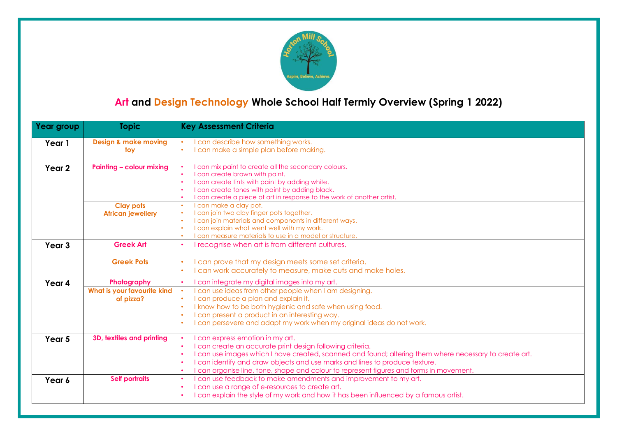

# **Art and Design Technology Whole School Half Termly Overview (Spring 1 2022)**

| Year group        | <b>Topic</b>                                 | <b>Key Assessment Criteria</b>                                                                                                                                                                                                                                                                                                                                                                                                                 |
|-------------------|----------------------------------------------|------------------------------------------------------------------------------------------------------------------------------------------------------------------------------------------------------------------------------------------------------------------------------------------------------------------------------------------------------------------------------------------------------------------------------------------------|
| Year 1            | <b>Design &amp; make moving</b><br>toy       | can describe how something works.<br>I can make a simple plan before making.<br>$\bullet$                                                                                                                                                                                                                                                                                                                                                      |
| Year 2            | Painting - colour mixing                     | can mix paint to create all the secondary colours.<br>I can create brown with paint.<br>$\bullet$<br>I can create tints with paint by adding white.<br>$\bullet$<br>I can create tones with paint by adding black.<br>$\bullet$<br>can create a piece of art in response to the work of another artist.<br>$\bullet$                                                                                                                           |
|                   | <b>Clay pots</b><br><b>African jewellery</b> | I can make a clay pot.<br>$\bullet$<br>I can join two clay finger pots together.<br>$\bullet$<br>I can join materials and components in different ways.<br>$\bullet$<br>I can explain what went well with my work.<br>$\bullet$<br>can measure materials to use in a model or structure.<br>$\bullet$                                                                                                                                          |
| Year <sub>3</sub> | <b>Greek Art</b>                             | I recognise when art is from different cultures.<br>$\bullet$                                                                                                                                                                                                                                                                                                                                                                                  |
|                   | <b>Greek Pots</b>                            | I can prove that my design meets some set criteria.<br>$\bullet$<br>I can work accurately to measure, make cuts and make holes.<br>$\bullet$                                                                                                                                                                                                                                                                                                   |
| Year 4            | Photography                                  | can integrate my digital images into my art.<br>$\bullet$                                                                                                                                                                                                                                                                                                                                                                                      |
|                   | What is your favourite kind<br>of pizza?     | can use ideas from other people when I am designing.<br>$\bullet$<br>I can produce a plan and explain it.<br>$\bullet$<br>I know how to be both hygienic and safe when using food.<br>$\bullet$<br>I can present a product in an interesting way.<br>$\bullet$<br>I can persevere and adapt my work when my original ideas do not work.<br>$\bullet$                                                                                           |
| Year 5            | 3D, textiles and printing                    | can express emotion in my art.<br>$\bullet$<br>I can create an accurate print design following criteria.<br>$\bullet$<br>I can use images which I have created, scanned and found; altering them where necessary to create art.<br>$\bullet$<br>I can identify and draw objects and use marks and lines to produce texture.<br>$\bullet$<br>can organise line, tone, shape and colour to represent figures and forms in movement.<br>$\bullet$ |
| Year 6            | <b>Self portraits</b>                        | I can use feedback to make amendments and improvement to my art.<br>$\bullet$<br>I can use a range of e-resources to create art.<br>$\bullet$<br>can explain the style of my work and how it has been influenced by a famous artist.<br>$\bullet$                                                                                                                                                                                              |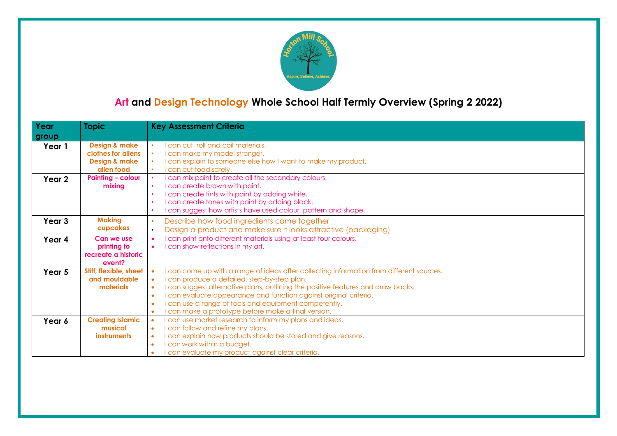

# **Art and Design Technology Whole School Half Termly Overview (Spring 2 2022)**

| Year   | <b>Topic</b>                                                                             | <b>Key Assessment Criteria</b>                                                                                                                                                                                                                                                                                                                                                                                                                                                      |
|--------|------------------------------------------------------------------------------------------|-------------------------------------------------------------------------------------------------------------------------------------------------------------------------------------------------------------------------------------------------------------------------------------------------------------------------------------------------------------------------------------------------------------------------------------------------------------------------------------|
| group  |                                                                                          |                                                                                                                                                                                                                                                                                                                                                                                                                                                                                     |
| Year 1 | <b>Design &amp; make</b><br>clothes for aliens<br><b>Design &amp; make</b><br>alien food | can cut, roll and coil materials.<br>$\bullet$<br>I can make my model stronger.<br>$\bullet$<br>I can explain to someone else how I want to make my product.<br>$\bullet$<br>can cut food safely.<br>$\bullet$                                                                                                                                                                                                                                                                      |
| Year 2 | <b>Painting - colour</b><br>mixing                                                       | can mix paint to create all the secondary colours.<br>$\bullet$<br>can create brown with paint.<br>$\bullet$<br>can create tints with paint by adding white.<br>$\bullet$<br>can create tones with paint by adding black.<br>$\bullet$<br>can suggest how artists have used colour, pattern and shape.<br>$\bullet$                                                                                                                                                                 |
| Year 3 | <b>Making</b><br>cupcakes                                                                | Describe how food ingredients come together<br>$\bullet$<br>Design a product and make sure it looks attractive (packaging)<br>$\bullet$                                                                                                                                                                                                                                                                                                                                             |
| Year 4 | Can we use<br>printing to<br>recreate a historic<br>event?                               | can print onto different materials using at least four colours.<br>$\bullet$<br>can show reflections in my art.                                                                                                                                                                                                                                                                                                                                                                     |
| Year 5 | Stiff, flexible, sheet<br>and mouldable<br>materials                                     | can come up with a range of ideas after collecting information from different sources.<br>$\bullet$<br>can produce a detailed, step-by-step plan.<br>$\bullet$<br>can suggest alternative plans; outlining the positive features and draw backs.<br>$\bullet$<br>can evaluate appearance and function against original criteria.<br>$\bullet$<br>can use a range of tools and equipment competently.<br>$\bullet$<br>can make a prototype before make a final version.<br>$\bullet$ |
| Year 6 | <b>Creating Islamic</b><br>musical<br><b>instruments</b>                                 | can use market research to inform my plans and ideas.<br>$\bullet$<br>can follow and refine my plans.<br>$\bullet$<br>can explain how products should be stored and give reasons.<br>$\bullet$<br>can work within a budget.<br>$\bullet$<br>can evaluate my product against clear criteria.<br>$\bullet$                                                                                                                                                                            |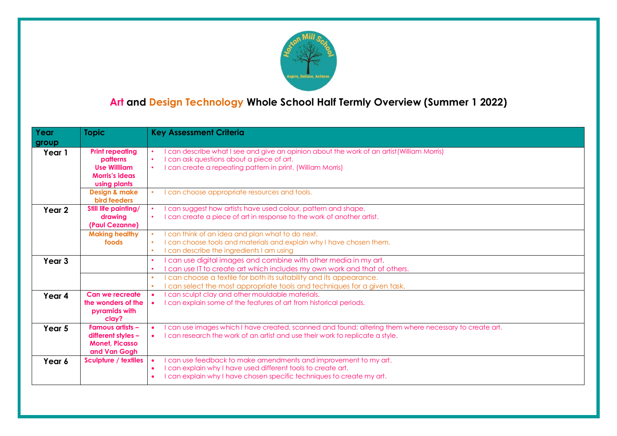

# **Art and Design Technology Whole School Half Termly Overview (Summer 1 2022)**

| Year<br>group     | <b>Topic</b>                                                                                       | <b>Key Assessment Criteria</b>                                                                                                                                                                                                          |
|-------------------|----------------------------------------------------------------------------------------------------|-----------------------------------------------------------------------------------------------------------------------------------------------------------------------------------------------------------------------------------------|
| Year 1            | <b>Print repeating</b><br>patterns<br><b>Use Willliam</b><br><b>Morris's ideas</b><br>using plants | can describe what I see and give an opinion about the work of an artist (William Morris)<br>$\bullet$<br>can ask questions about a piece of art.<br>$\bullet$<br>can create a repeating pattern in print. (William Morris)<br>$\bullet$ |
|                   | <b>Design &amp; make</b><br>bird feeders                                                           | can choose appropriate resources and tools.<br>$\bullet$                                                                                                                                                                                |
| Year 2            | Still life painting/<br>drawing<br>(Paul Cezanne)                                                  | can suggest how artists have used colour, pattern and shape.<br>can create a piece of art in response to the work of another artist.                                                                                                    |
|                   | <b>Making healthy</b><br>foods                                                                     | can think of an idea and plan what to do next.<br>$\bullet$<br>I can choose tools and materials and explain why I have chosen them.<br>$\bullet$<br>can describe the ingredients I am using<br>$\bullet$                                |
| Year <sub>3</sub> |                                                                                                    | can use digital images and combine with other media in my art.<br>$\bullet$<br>can use IT to create art which includes my own work and that of others.<br>$\bullet$                                                                     |
|                   |                                                                                                    | can choose a textile for both its suitability and its appearance.<br>$\bullet$<br>can select the most appropriate tools and techniques for a given task.<br>$\bullet$                                                                   |
| Year 4            | Can we recreate<br>the wonders of the<br>pyramids with<br>clay?                                    | can sculpt clay and other mouldable materials.<br>$\bullet$<br>can explain some of the features of art from historical periods.                                                                                                         |
| Year 5            | <b>Famous artists -</b><br>different styles -<br><b>Monet, Picasso</b><br>and Van Gogh             | can use images which I have created, scanned and found; altering them where necessary to create art.<br>can research the work of an artist and use their work to replicate a style.                                                     |
| Year 6            | <b>Sculpture / textiles</b>                                                                        | can use feedback to make amendments and improvement to my art.<br>I can explain why I have used different tools to create art.<br>$\bullet$<br>can explain why I have chosen specific techniques to create my art.<br>$\bullet$         |